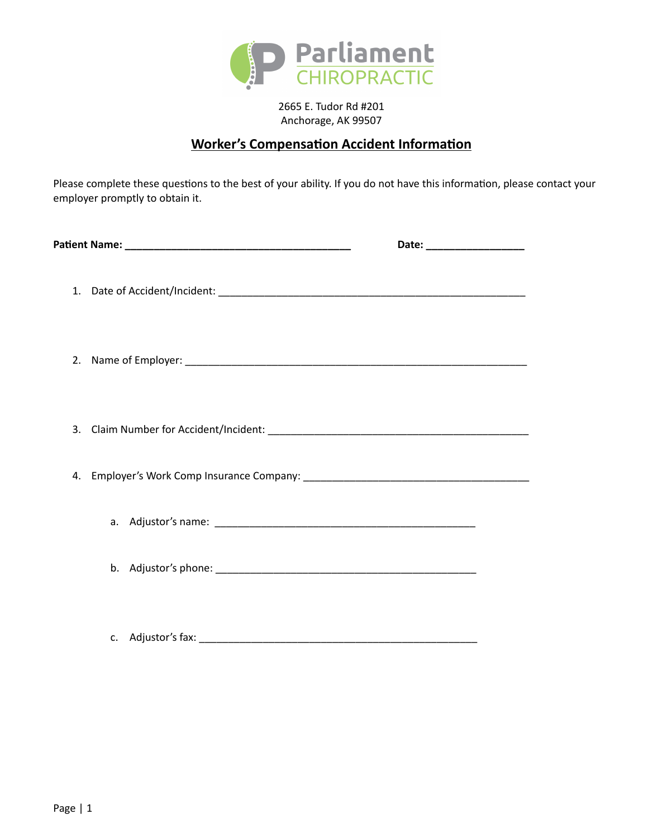

2665 E. Tudor Rd #201 Anchorage, AK 99507

# **Worker's Compensation Accident Information**

Please complete these questions to the best of your ability. If you do not have this information, please contact your employer promptly to obtain it.

| Date: ______________________ |  |
|------------------------------|--|
|                              |  |
|                              |  |
|                              |  |
|                              |  |
|                              |  |
|                              |  |
|                              |  |

c. Adjustor's fax: \_\_\_\_\_\_\_\_\_\_\_\_\_\_\_\_\_\_\_\_\_\_\_\_\_\_\_\_\_\_\_\_\_\_\_\_\_\_\_\_\_\_\_\_\_\_\_\_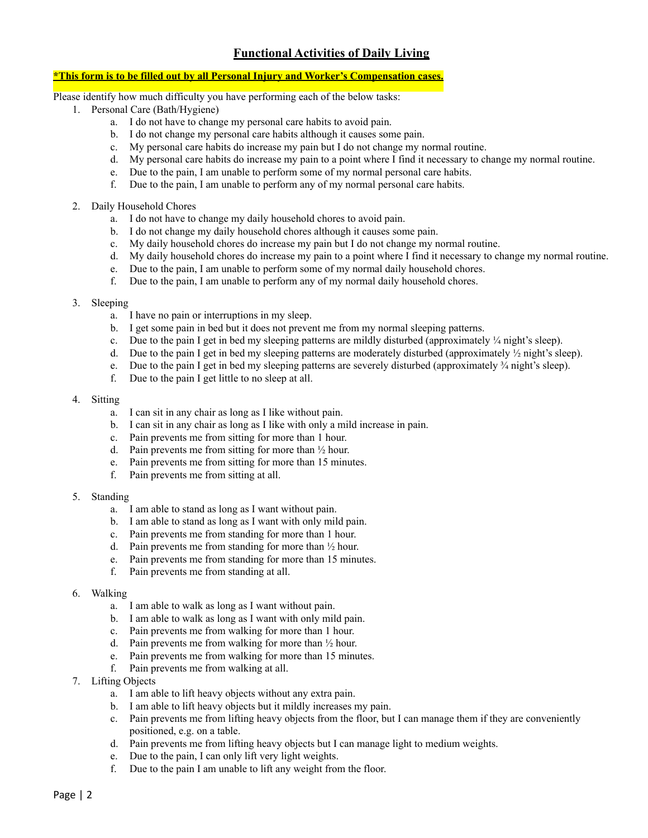## **Functional Activities of Daily Living**

## **\*This form is to be filled out by all Personal Injury and Worker's Compensation cases.**

Please identify how much difficulty you have performing each of the below tasks:

- 1. Personal Care (Bath/Hygiene)
	- a. I do not have to change my personal care habits to avoid pain.
	- b. I do not change my personal care habits although it causes some pain.
	- c. My personal care habits do increase my pain but I do not change my normal routine.
	- d. My personal care habits do increase my pain to a point where I find it necessary to change my normal routine.
	- e. Due to the pain, I am unable to perform some of my normal personal care habits.
	- f. Due to the pain, I am unable to perform any of my normal personal care habits.
- 2. Daily Household Chores
	- a. I do not have to change my daily household chores to avoid pain.
	- b. I do not change my daily household chores although it causes some pain.
	- c. My daily household chores do increase my pain but I do not change my normal routine.
	- d. My daily household chores do increase my pain to a point where I find it necessary to change my normal routine.
	- e. Due to the pain, I am unable to perform some of my normal daily household chores.
	- f. Due to the pain, I am unable to perform any of my normal daily household chores.

## 3. Sleeping

- a. I have no pain or interruptions in my sleep.
- b. I get some pain in bed but it does not prevent me from my normal sleeping patterns.
- c. Due to the pain I get in bed my sleeping patterns are mildly disturbed (approximately  $\frac{1}{4}$  night's sleep).
- d. Due to the pain I get in bed my sleeping patterns are moderately disturbed (approximately  $\frac{1}{2}$  night's sleep).
- e. Due to the pain I get in bed my sleeping patterns are severely disturbed (approximately  $\frac{3}{4}$  night's sleep).
- f. Due to the pain I get little to no sleep at all.

#### 4. Sitting

- a. I can sit in any chair as long as I like without pain.
- b. I can sit in any chair as long as I like with only a mild increase in pain.
- c. Pain prevents me from sitting for more than 1 hour.
- d. Pain prevents me from sitting for more than  $\frac{1}{2}$  hour.
- e. Pain prevents me from sitting for more than 15 minutes.
- f. Pain prevents me from sitting at all.
- 5. Standing
	- a. I am able to stand as long as I want without pain.
	- b. I am able to stand as long as I want with only mild pain.
	- c. Pain prevents me from standing for more than 1 hour.
	- d. Pain prevents me from standing for more than ½ hour.
	- e. Pain prevents me from standing for more than 15 minutes.
	- f. Pain prevents me from standing at all.

## 6. Walking

- a. I am able to walk as long as I want without pain.
- b. I am able to walk as long as I want with only mild pain.
- c. Pain prevents me from walking for more than 1 hour.
- d. Pain prevents me from walking for more than ½ hour.
- e. Pain prevents me from walking for more than 15 minutes.
- f. Pain prevents me from walking at all.
- 7. Lifting Objects
	- a. I am able to lift heavy objects without any extra pain.
	- b. I am able to lift heavy objects but it mildly increases my pain.
	- c. Pain prevents me from lifting heavy objects from the floor, but I can manage them if they are conveniently positioned, e.g. on a table.
	- d. Pain prevents me from lifting heavy objects but I can manage light to medium weights.
	- e. Due to the pain, I can only lift very light weights.
	- f. Due to the pain I am unable to lift any weight from the floor.